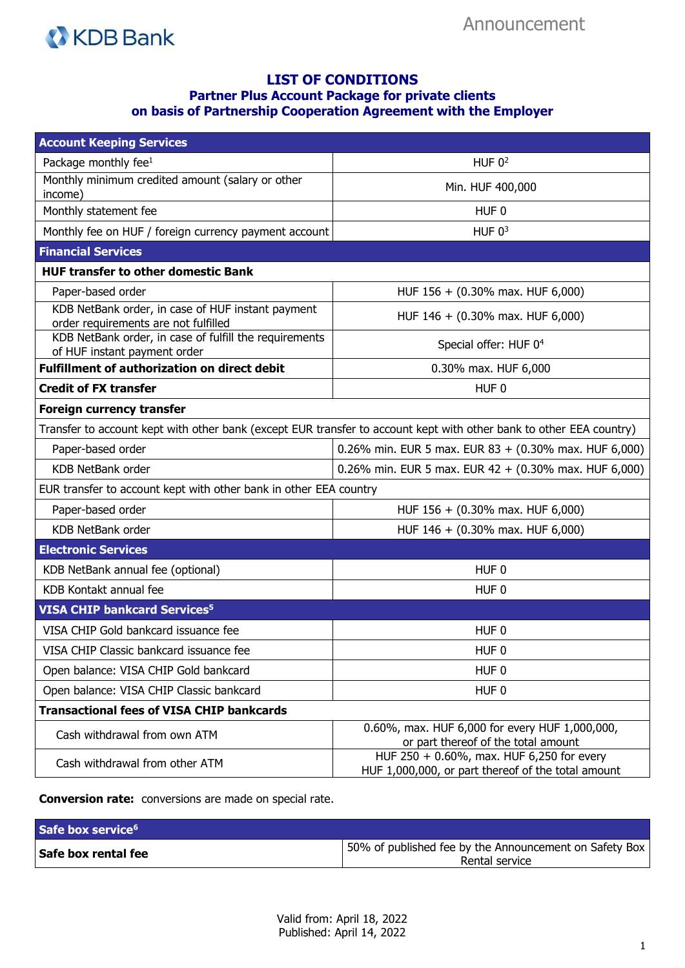

## **LIST OF CONDITIONS Partner Plus Account Package for private clients on basis of Partnership Cooperation Agreement with the Employer**

| <b>Account Keeping Services</b>                                                           |                                                                                                                     |
|-------------------------------------------------------------------------------------------|---------------------------------------------------------------------------------------------------------------------|
| Package monthly fee $1$                                                                   | HUF $0^2$                                                                                                           |
| Monthly minimum credited amount (salary or other<br>income)                               | Min. HUF 400,000                                                                                                    |
| Monthly statement fee                                                                     | HUF <sub>0</sub>                                                                                                    |
| Monthly fee on HUF / foreign currency payment account                                     | HUF $03$                                                                                                            |
| <b>Financial Services</b>                                                                 |                                                                                                                     |
| <b>HUF transfer to other domestic Bank</b>                                                |                                                                                                                     |
| Paper-based order                                                                         | HUF 156 + (0.30% max. HUF 6,000)                                                                                    |
| KDB NetBank order, in case of HUF instant payment<br>order requirements are not fulfilled | HUF 146 + (0.30% max. HUF 6,000)                                                                                    |
| KDB NetBank order, in case of fulfill the requirements<br>of HUF instant payment order    | Special offer: HUF 0 <sup>4</sup>                                                                                   |
| <b>Fulfillment of authorization on direct debit</b>                                       | 0.30% max. HUF 6,000                                                                                                |
| <b>Credit of FX transfer</b>                                                              | HUF <sub>0</sub>                                                                                                    |
| <b>Foreign currency transfer</b>                                                          |                                                                                                                     |
|                                                                                           | Transfer to account kept with other bank (except EUR transfer to account kept with other bank to other EEA country) |
| Paper-based order                                                                         | 0.26% min. EUR 5 max. EUR 83 + (0.30% max. HUF 6,000)                                                               |
| <b>KDB NetBank order</b>                                                                  | 0.26% min. EUR 5 max. EUR $42 + (0.30\% \text{ max. HUF } 6,000)$                                                   |
| EUR transfer to account kept with other bank in other EEA country                         |                                                                                                                     |
| Paper-based order                                                                         | HUF 156 + (0.30% max. HUF 6,000)                                                                                    |
| KDB NetBank order                                                                         | HUF 146 + (0.30% max. HUF 6,000)                                                                                    |
| <b>Electronic Services</b>                                                                |                                                                                                                     |
| KDB NetBank annual fee (optional)                                                         | HUF <sub>0</sub>                                                                                                    |
| KDB Kontakt annual fee                                                                    | HUF 0                                                                                                               |
| <b>VISA CHIP bankcard Services<sup>5</sup></b>                                            |                                                                                                                     |
| VISA CHIP Gold bankcard issuance fee                                                      | HUF <sub>0</sub>                                                                                                    |
| VISA CHIP Classic bankcard issuance fee                                                   | HUF <sub>0</sub>                                                                                                    |
| Open balance: VISA CHIP Gold bankcard                                                     | HUF <sub>0</sub>                                                                                                    |
| Open balance: VISA CHIP Classic bankcard                                                  | HUF <sub>0</sub>                                                                                                    |
| <b>Transactional fees of VISA CHIP bankcards</b>                                          |                                                                                                                     |
| Cash withdrawal from own ATM                                                              | 0.60%, max. HUF 6,000 for every HUF 1,000,000,<br>or part thereof of the total amount                               |
| Cash withdrawal from other ATM                                                            | HUF 250 + 0.60%, max. HUF 6,250 for every<br>HUF 1,000,000, or part thereof of the total amount                     |

**Conversion rate:** conversions are made on special rate.

| Safe box service <sup>6</sup> |                                                                          |
|-------------------------------|--------------------------------------------------------------------------|
| Safe box rental fee           | 50% of published fee by the Announcement on Safety Box<br>Rental service |